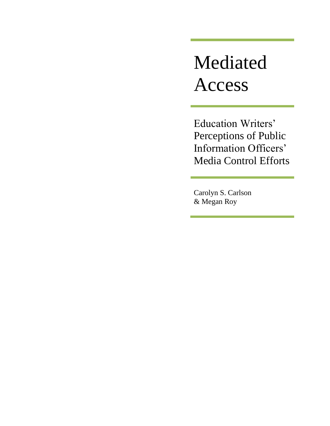# Mediated Access

Education Writers' Perceptions of Public Information Officers' Media Control Efforts

Carolyn S. Carlson & Megan Roy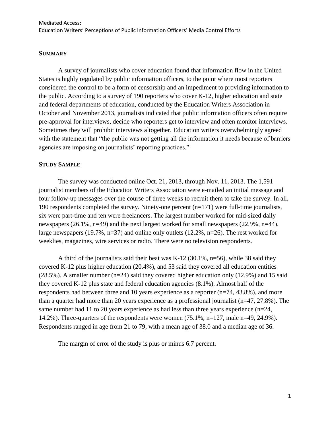#### **SUMMARY**

A survey of journalists who cover education found that information flow in the United States is highly regulated by public information officers, to the point where most reporters considered the control to be a form of censorship and an impediment to providing information to the public. According to a survey of 190 reporters who cover K-12, higher education and state and federal departments of education, conducted by the Education Writers Association in October and November 2013, journalists indicated that public information officers often require pre-approval for interviews, decide who reporters get to interview and often monitor interviews. Sometimes they will prohibit interviews altogether. Education writers overwhelmingly agreed with the statement that "the public was not getting all the information it needs because of barriers agencies are imposing on journalists' reporting practices."

#### **STUDY SAMPLE**

The survey was conducted online Oct. 21, 2013, through Nov. 11, 2013. The 1,591 journalist members of the Education Writers Association were e-mailed an initial message and four follow-up messages over the course of three weeks to recruit them to take the survey. In all, 190 respondents completed the survey. Ninety-one percent (n=171) were full-time journalists, six were part-time and ten were freelancers. The largest number worked for mid-sized daily newspapers (26.1%, n=49) and the next largest worked for small newspapers (22.9%, n=44), large newspapers (19.7%,  $n=37$ ) and online only outlets (12.2%,  $n=26$ ). The rest worked for weeklies, magazines, wire services or radio. There were no television respondents.

A third of the journalists said their beat was K-12 (30.1%, n=56), while 38 said they covered K-12 plus higher education (20.4%), and 53 said they covered all education entities (28.5%). A smaller number (n=24) said they covered higher education only (12.9%) and 15 said they covered K-12 plus state and federal education agencies (8.1%). Almost half of the respondents had between three and 10 years experience as a reporter (n=74, 43.8%), and more than a quarter had more than 20 years experience as a professional journalist (n=47, 27.8%). The same number had 11 to 20 years experience as had less than three years experience (n=24, 14.2%). Three-quarters of the respondents were women (75.1%, n=127, male n=49, 24.9%). Respondents ranged in age from 21 to 79, with a mean age of 38.0 and a median age of 36.

The margin of error of the study is plus or minus 6.7 percent.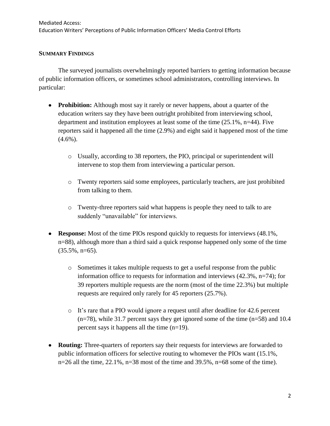#### **SUMMARY FINDINGS**

The surveyed journalists overwhelmingly reported barriers to getting information because of public information officers, or sometimes school administrators, controlling interviews. In particular:

- **Prohibition:** Although most say it rarely or never happens, about a quarter of the education writers say they have been outright prohibited from interviewing school, department and institution employees at least some of the time (25.1%, n=44). Five reporters said it happened all the time (2.9%) and eight said it happened most of the time  $(4.6\%)$ .
	- o Usually, according to 38 reporters, the PIO, principal or superintendent will intervene to stop them from interviewing a particular person.
	- o Twenty reporters said some employees, particularly teachers, are just prohibited from talking to them.
	- o Twenty-three reporters said what happens is people they need to talk to are suddenly "unavailable" for interviews.
- **Response:** Most of the time PIOs respond quickly to requests for interviews (48.1%, n=88), although more than a third said a quick response happened only some of the time  $(35.5\%, n=65)$ .
	- o Sometimes it takes multiple requests to get a useful response from the public information office to requests for information and interviews (42.3%, n=74); for 39 reporters multiple requests are the norm (most of the time 22.3%) but multiple requests are required only rarely for 45 reporters (25.7%).
	- o It's rare that a PIO would ignore a request until after deadline for 42.6 percent  $(n=78)$ , while 31.7 percent says they get ignored some of the time  $(n=58)$  and 10.4 percent says it happens all the time (n=19).
- **Routing:** Three-quarters of reporters say their requests for interviews are forwarded to public information officers for selective routing to whomever the PIOs want (15.1%,  $n=26$  all the time,  $22.1\%$ ,  $n=38$  most of the time and  $39.5\%$ ,  $n=68$  some of the time).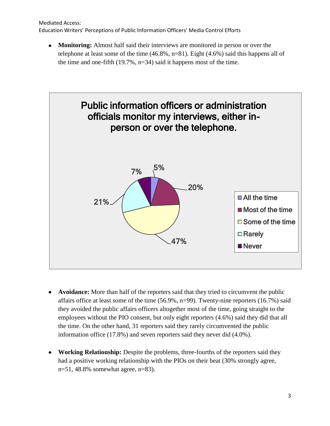Mediated Access: Education Writers' Perceptions of Public Information Officers' Media Control Efforts

**Monitoring:** Almost half said their interviews are monitored in person or over the telephone at least some of the time (46.8%, n=81). Eight (4.6%) said this happens all of the time and one-fifth  $(19.7\%, n=34)$  said it happens most of the time.



- **Avoidance:** More than half of the reporters said that they tried to circumvent the public affairs office at least some of the time  $(56.9\%, n=99)$ . Twenty-nine reporters  $(16.7\%)$  said they avoided the public affairs officers altogether most of the time, going straight to the employees without the PIO consent, but only eight reporters (4.6%) said they did that all the time. On the other hand, 31 reporters said they rarely circumvented the public information office (17.8%) and seven reporters said they never did (4.0%).
- **Working Relationship:** Despite the problems, three-fourths of the reporters said they had a positive working relationship with the PIOs on their beat (30% strongly agree, n=51, 48.8% somewhat agree, n=83).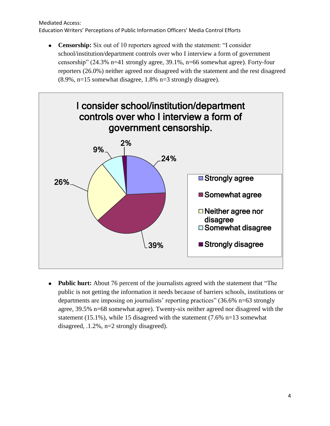#### Mediated Access: Education Writers' Perceptions of Public Information Officers' Media Control Efforts

**Censorship:** Six out of 10 reporters agreed with the statement: "I consider school/institution/department controls over who I interview a form of government censorship" (24.3% n=41 strongly agree, 39.1%, n=66 somewhat agree). Forty-four reporters (26.0%) neither agreed nor disagreed with the statement and the rest disagreed (8.9%, n=15 somewhat disagree, 1.8% n=3 strongly disagree).



**Public hurt:** About 76 percent of the journalists agreed with the statement that "The public is not getting the information it needs because of barriers schools, institutions or departments are imposing on journalists' reporting practices" (36.6% n=63 strongly agree, 39.5% n=68 somewhat agree). Twenty-six neither agreed nor disagreed with the statement (15.1%), while 15 disagreed with the statement (7.6% n=13 somewhat disagreed, .1.2%, n=2 strongly disagreed).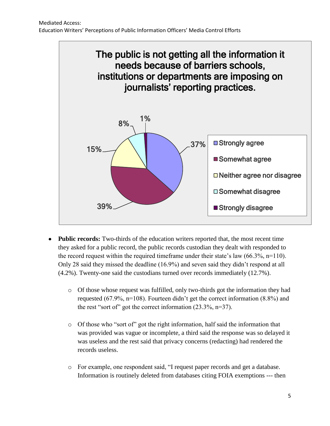

- **Public records:** Two-thirds of the education writers reported that, the most recent time they asked for a public record, the public records custodian they dealt with responded to the record request within the required timeframe under their state's law  $(66.3\%, n=110)$ . Only 28 said they missed the deadline (16.9%) and seven said they didn't respond at all (4.2%). Twenty-one said the custodians turned over records immediately (12.7%).
	- o Of those whose request was fulfilled, only two-thirds got the information they had requested (67.9%, n=108). Fourteen didn't get the correct information (8.8%) and the rest "sort of" got the correct information (23.3%, n=37).
	- o Of those who "sort of" got the right information, half said the information that was provided was vague or incomplete, a third said the response was so delayed it was useless and the rest said that privacy concerns (redacting) had rendered the records useless.
	- o For example, one respondent said, "I request paper records and get a database. Information is routinely deleted from databases citing FOIA exemptions --- then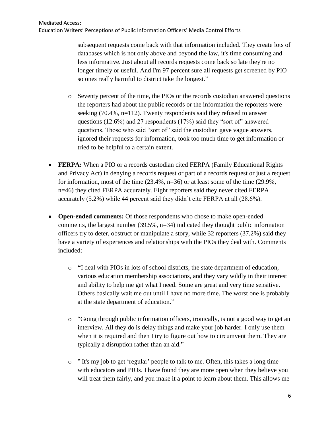subsequent requests come back with that information included. They create lots of databases which is not only above and beyond the law, it's time consuming and less informative. Just about all records requests come back so late they're no longer timely or useful. And I'm 97 percent sure all requests get screened by PIO so ones really harmful to district take the longest."

- o Seventy percent of the time, the PIOs or the records custodian answered questions the reporters had about the public records or the information the reporters were seeking (70.4%, n=112). Twenty respondents said they refused to answer questions (12.6%) and 27 respondents (17%) said they "sort of" answered questions. Those who said "sort of" said the custodian gave vague answers, ignored their requests for information, took too much time to get information or tried to be helpful to a certain extent.
- **FERPA:** When a PIO or a records custodian cited FERPA (Family Educational Rights and Privacy Act) in denying a records request or part of a records request or just a request for information, most of the time  $(23.4\%, n=36)$  or at least some of the time  $(29.9\%,$ n=46) they cited FERPA accurately. Eight reporters said they never cited FERPA accurately (5.2%) while 44 percent said they didn't cite FERPA at all (28.6%).
- **Open-ended comments:** Of those respondents who chose to make open-ended comments, the largest number  $(39.5\%, n=34)$  indicated they thought public information officers try to deter, obstruct or manipulate a story, while 32 reporters (37.2%) said they have a variety of experiences and relationships with the PIOs they deal with. Comments included:
	- o **"**I deal with PIOs in lots of school districts, the state department of education, various education membership associations, and they vary wildly in their interest and ability to help me get what I need. Some are great and very time sensitive. Others basically wait me out until I have no more time. The worst one is probably at the state department of education."
	- o "Going through public information officers, ironically, is not a good way to get an interview. All they do is delay things and make your job harder. I only use them when it is required and then I try to figure out how to circumvent them. They are typically a disruption rather than an aid."
	- $\circ$  " It's my job to get 'regular' people to talk to me. Often, this takes a long time with educators and PIOs. I have found they are more open when they believe you will treat them fairly, and you make it a point to learn about them. This allows me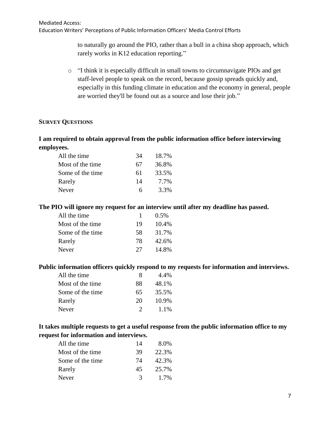to naturally go around the PIO, rather than a bull in a china shop approach, which rarely works in K12 education reporting."

o "I think it is especially difficult in small towns to circumnavigate PIOs and get staff-level people to speak on the record, because gossip spreads quickly and, especially in this funding climate in education and the economy in general, people are worried they'll be found out as a source and lose their job."

## **SURVEY QUESTIONS**

# **I am required to obtain approval from the public information office before interviewing employees.**

| All the time     | 34 | 18.7% |
|------------------|----|-------|
| Most of the time | 67 | 36.8% |
| Some of the time | 61 | 33.5% |
| Rarely           | 14 | 7.7%  |
| Never            | 6  | 3.3%  |

#### **The PIO will ignore my request for an interview until after my deadline has passed.**

| All the time      |    | $0.5\%$ |
|-------------------|----|---------|
| Most of the time. | 19 | 10.4%   |
| Some of the time  | 58 | 31.7%   |
| Rarely            | 78 | 42.6%   |
| Never             | 27 | 14.8%   |
|                   |    |         |

#### **Public information officers quickly respond to my requests for information and interviews.**

| All the time      | x             | 4.4%  |
|-------------------|---------------|-------|
| Most of the time. | 88            | 48.1% |
| Some of the time  | 65            | 35.5% |
| Rarely            | 20            | 10.9% |
| Never             | $\mathcal{D}$ | 1.1%  |

# **It takes multiple requests to get a useful response from the public information office to my request for information and interviews.**

| All the time     | 14 | 8.0%    |
|------------------|----|---------|
| Most of the time | 39 | 22.3%   |
| Some of the time | 74 | 42.3%   |
| Rarely           | 45 | 25.7%   |
| <b>Never</b>     | 3  | $1.7\%$ |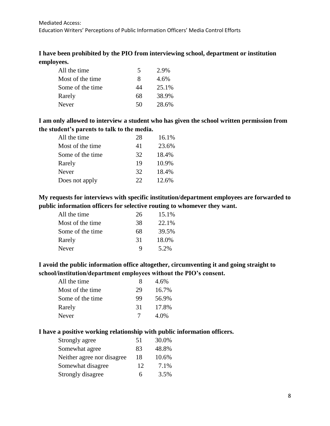# **I have been prohibited by the PIO from interviewing school, department or institution employees.**

| All the time      | 5  | 2.9%  |
|-------------------|----|-------|
| Most of the time. | 8  | 4.6%  |
| Some of the time  | 44 | 25.1% |
| Rarely            | 68 | 38.9% |
| Never             | 50 | 28.6% |

# **I am only allowed to interview a student who has given the school written permission from the student's parents to talk to the media.**

| All the time     | 28 | 16.1% |
|------------------|----|-------|
| Most of the time | 41 | 23.6% |
| Some of the time | 32 | 18.4% |
| Rarely           | 19 | 10.9% |
| Never            | 32 | 18.4% |
| Does not apply   | 22 | 12.6% |

# **My requests for interviews with specific institution/department employees are forwarded to public information officers for selective routing to whomever they want.**

| All the time      | 26 | 15.1% |
|-------------------|----|-------|
| Most of the time. | 38 | 22.1% |
| Some of the time  | 68 | 39.5% |
| Rarely            | 31 | 18.0% |
| Never             | Q  | 5.2%  |

# **I avoid the public information office altogether, circumventing it and going straight to school/institution/department employees without the PIO's consent.**

| x  | 4.6%  |
|----|-------|
| 29 | 16.7% |
| 99 | 56.9% |
| 31 | 17.8% |
| 7  | 4.0%  |
|    |       |

### **I have a positive working relationship with public information officers.**

| Strongly agree              | 51 | 30.0% |
|-----------------------------|----|-------|
| Somewhat agree              | 83 | 48.8% |
| Neither agree nor disagree. | 18 | 10.6% |
| Somewhat disagree           | 12 | 7.1%  |
| Strongly disagree           | 6  | 3.5%  |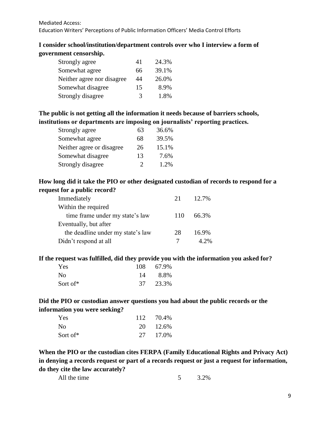# **I consider school/institution/department controls over who I interview a form of government censorship.**

| Strongly agree              | 41 | 24.3% |
|-----------------------------|----|-------|
| Somewhat agree              | 66 | 39.1% |
| Neither agree nor disagree. | 44 | 26.0% |
| Somewhat disagree           | 15 | 8.9%  |
| Strongly disagree           | 3  | 1.8%  |

# **The public is not getting all the information it needs because of barriers schools, institutions or departments are imposing on journalists' reporting practices.**

| Strongly agree            | 63 | 36.6% |
|---------------------------|----|-------|
| Somewhat agree            | 68 | 39.5% |
| Neither agree or disagree | 26 | 15.1% |
| Somewhat disagree         | 13 | 7.6%  |
| Strongly disagree         | 2  | 1.2%  |

# **How long did it take the PIO or other designated custodian of records to respond for a request for a public record?**

| Immediately                       | 21  | 12.7%   |
|-----------------------------------|-----|---------|
| Within the required               |     |         |
| time frame under my state's law   | 110 | 66.3%   |
| Eventually, but after             |     |         |
| the deadline under my state's law | 28  | 16.9%   |
| Didn't respond at all             |     | $4.2\%$ |

**If the request was fulfilled, did they provide you with the information you asked for?**

| Yes            | 108 67.9% |
|----------------|-----------|
| N <sub>0</sub> | 14 8.8%   |
| Sort of*       | 37 23.3%  |

# **Did the PIO or custodian answer questions you had about the public records or the information you were seeking?**

| Yes            | 112 70.4% |
|----------------|-----------|
| N <sub>0</sub> | 20 12.6%  |
| Sort of*       | 27 17.0%  |

**When the PIO or the custodian cites FERPA (Family Educational Rights and Privacy Act) in denying a records request or part of a records request or just a request for information, do they cite the law accurately?**

| All the time |  | 3.2% |
|--------------|--|------|
|--------------|--|------|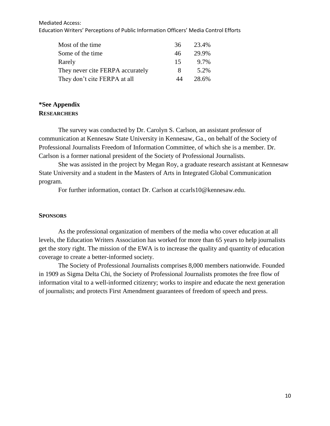#### Mediated Access: Education Writers' Perceptions of Public Information Officers' Media Control Efforts

| Most of the time                 | 36 | 23.4% |
|----------------------------------|----|-------|
| Some of the time                 | 46 | 29.9% |
| Rarely                           | 15 | 9.7%  |
| They never cite FERPA accurately | 8  | 5.2%  |
| They don't cite FERPA at all     | 44 | 28.6% |

#### **\*See Appendix RESEARCHERS**

The survey was conducted by Dr. Carolyn S. Carlson, an assistant professor of communication at Kennesaw State University in Kennesaw, Ga., on behalf of the Society of Professional Journalists Freedom of Information Committee, of which she is a member. Dr. Carlson is a former national president of the Society of Professional Journalists.

She was assisted in the project by Megan Roy, a graduate research assistant at Kennesaw State University and a student in the Masters of Arts in Integrated Global Communication program.

For further information, contact Dr. Carlson at [ccarls10@kennesaw.edu.](mailto:ccarls10@kennesaw.edu)

#### **SPONSORS**

As the professional organization of members of the media who cover education at all levels, the Education Writers Association has worked for more than 65 years to help journalists get the story right. The mission of the EWA is to increase the quality and quantity of education coverage to create a better-informed society.

The Society of Professional Journalists comprises 8,000 members nationwide. Founded in 1909 as Sigma Delta Chi, the Society of Professional Journalists promotes the free flow of information vital to a well-informed citizenry; works to inspire and educate the next generation of journalists; and protects First Amendment guarantees of freedom of speech and press.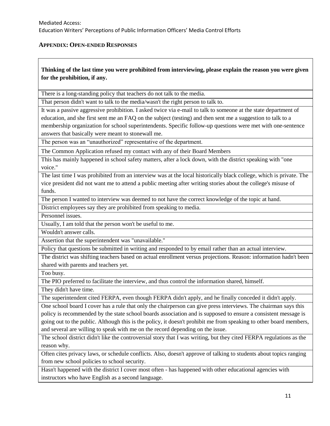#### **APPENDIX: OPEN-ENDED RESPONSES**

#### **Thinking of the last time you were prohibited from interviewing, please explain the reason you were given for the prohibition, if any.**

There is a long-standing policy that teachers do not talk to the media.

That person didn't want to talk to the media/wasn't the right person to talk to.

It was a passive aggressive prohibition. I asked twice via e-mail to talk to someone at the state department of education, and she first sent me an FAQ on the subject (testing) and then sent me a suggestion to talk to a membership organization for school superintendents. Specific follow-up questions were met with one-sentence answers that basically were meant to stonewall me.

The person was an "unauthorized" representative of the department.

The Common Application refused my contact with any of their Board Members

This has mainly happened in school safety matters, after a lock down, with the district speaking with "one voice."

The last time I was prohibited from an interview was at the local historically black college, which is private. The vice president did not want me to attend a public meeting after writing stories about the college's misuse of funds.

The person I wanted to interview was deemed to not have the correct knowledge of the topic at hand.

District employees say they are prohibited from speaking to media.

Personnel issues.

Usually, I am told that the person won't be useful to me.

Wouldn't answer calls.

Assertion that the superintendent was "unavailable."

Policy that questions be submitted in writing and responded to by email rather than an actual interview.

The district was shifting teachers based on actual enrollment versus projections. Reason: information hadn't been shared with parents and teachers yet.

Too busy.

The PIO preferred to facilitate the interview, and thus control the information shared, himself.

They didn't have time.

The superintendent cited FERPA, even though FERPA didn't apply, and he finally conceded it didn't apply.

One school board I cover has a rule that only the chairperson can give press interviews. The chairman says this policy is recommended by the state school boards association and is supposed to ensure a consistent message is going out to the public. Although this is the policy, it doesn't prohibit me from speaking to other board members, and several are willing to speak with me on the record depending on the issue.

The school district didn't like the controversial story that I was writing, but they cited FERPA regulations as the reason why.

Often cites privacy laws, or schedule conflicts. Also, doesn't approve of talking to students about topics ranging from new school policies to school security.

Hasn't happened with the district I cover most often - has happened with other educational agencies with instructors who have English as a second language.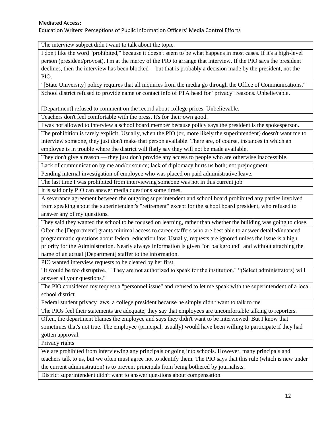The interview subject didn't want to talk about the topic.

I don't like the word "prohibited," because it doesn't seem to be what happens in most cases. If it's a high-level person (president/provost), I'm at the mercy of the PIO to arrange that interview. If the PIO says the president declines, then the interview has been blocked -- but that is probably a decision made by the president, not the PIO.

"[State University] policy requires that all inquiries from the media go through the Office of Communications." School district refused to provide name or contact info of PTA head for "privacy" reasons. Unbelievable.

[Department] refused to comment on the record about college prices. Unbelievable.

Teachers don't feel comfortable with the press. It's for their own good.

I was not allowed to interview a school board member because policy says the president is the spokesperson.

The prohibition is rarely explicit. Usually, when the PIO (or, more likely the superintendent) doesn't want me to interview someone, they just don't make that person available. There are, of course, instances in which an employee is in trouble where the district will flatly say they will not be made available.

They don't give a reason — they just don't provide any access to people who are otherwise inaccessible.

Lack of communication by me and/or source; lack of diplomacy hurts us both; not prejudgment

Pending internal investigation of employee who was placed on paid administrative leave.

The last time I was prohibited from interviewing someone was not in this current job

It is said only PIO can answer media questions some times.

A severance agreement between the outgoing superintendent and school board prohibited any parties involved from speaking about the superintendent's "retirement" except for the school board president, who refused to answer any of my questions.

They said they wanted the school to be focused on learning, rather than whether the building was going to close.

Often the [Department] grants minimal access to career staffers who are best able to answer detailed/nuanced programmatic questions about federal education law. Usually, requests are ignored unless the issue is a high priority for the Administration. Nearly always information is given "on background" and without attaching the name of an actual [Department] staffer to the information.

PIO wanted interview requests to be cleared by her first.

"It would be too disruptive." "They are not authorized to speak for the institution." "(Select administrators) will answer all your questions."

The PIO considered my request a "personnel issue" and refused to let me speak with the superintendent of a local school district.

Federal student privacy laws, a college president because he simply didn't want to talk to me

The PIOs feel their statements are adequate; they say that employees are uncomfortable talking to reporters.

Often, the department blames the employee and says they didn't want to be interviewed. But I know that sometimes that's not true. The employee (principal, usually) would have been willing to participate if they had gotten approval.

Privacy rights

We are prohibited from interviewing any principals or going into schools. However, many principals and teachers talk to us, but we often must agree not to identify them. The PIO says that this rule (which is new under the current administration) is to prevent principals from being bothered by journalists.

District superintendent didn't want to answer questions about compensation.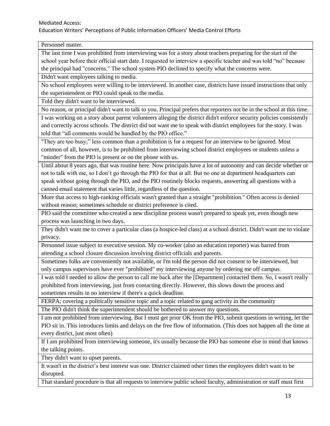Personnel matter.

The last time I was prohibited from interviewing was for a story about teachers preparing for the start of the school year before their official start date. I requested to interview a specific teacher and was told "no" because the principal had "concerns." The school system PIO declined to specify what the concerns were.

Didn't want employees talking to media.

No school employees were willing to be interviewed. In another case, districts have issued instructions that only the superintendent or PIO could speak to the media.

Told they didn't want to be interviewed.

No reason, or principal didn't want to talk to you. Principal prefers that reporters not be in the school at this time.

I was working on a story about parent volunteers alleging the district didn't enforce security policies consistently and correctly across schools. The district did not want me to speak with district employees for the story. I was told that "all comments would be handled by the PIO office."

"They are too busy;" less common than a prohibition is for a request for an interview to be ignored. Most common of all, however, is to be prohibited from interviewing school district employees or students unless a "minder" from the PIO is present or on the phone with us.

Until about 8 years ago, that was routine here. Now principals have a lot of autonomy and can decide whether or not to talk with me, so I don't go through the PIO for that at all. But no one at department headquarters can speak without going through the PIO, and the PIO routinely blocks requests, answering all questions with a canned email statement that varies little, regardless of the question.

More that access to high-ranking officials wasn't granted than a straight "prohibition." Often access is denied without reason; sometimes schedule or district preference is cited.

PIO said the committee who created a new discipline process wasn't prepared to speak yet, even though new process was launching in two days.

They didn't want me to cover a particular class (a hospice-led class) at a school district. Didn't want me to violate privacy.

Personnel issue subject to executive session. My co-worker (also an education reporter) was barred from attending a school closure discussion involving district officials and parents.

Sometimes folks are conveniently not available, or I'm told the person did not consent to be interviewed, but only campus supervisors have ever "prohibited" my interviewing anyone by ordering me off campus.

I was told I needed to allow the person to call me back after the [Department] contacted them. So, I wasn't really prohibited from interviewing, just from contacting directly. However, this slows down the process and sometimes results in no interview if there's a quick deadline.

FERPA; covering a politically sensitive topic and a topic related to gang activity in the community

The PIO didn't think the superintendent should be bothered to answer my questions.

I am not prohibited from interviewing. But I must get prior OK from the PIO, submit questions in writing, let the PIO sit in. This introduces limits and delays on the free flow of information. (This does not happen all the time at every district, just most often)

If I am prohibited from interviewing someone, it's usually because the PIO has someone else in mind that knows the talking points.

They didn't want to upset parents.

It wasn't in the district's best interest was one. District claimed other times the employees didn't want to be disrupted.

That standard procedure is that all requests to interview public school faculty, administration or staff must first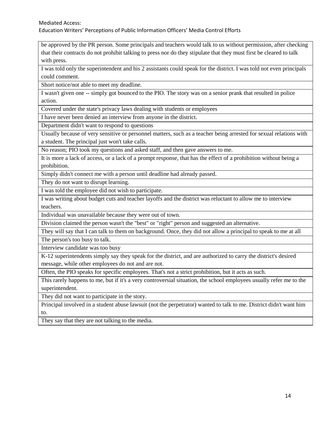be approved by the PR person. Some principals and teachers would talk to us without permission, after checking that their contracts do not prohibit talking to press nor do they stipulate that they must first be cleared to talk with press.

I was told only the superintendent and his 2 assistants could speak for the district. I was told not even principals could comment.

Short notice/not able to meet my deadline.

I wasn't given one -- simply got bounced to the PIO. The story was on a senior prank that resulted in police action.

Covered under the state's privacy laws dealing with students or employees

I have never been denied an interview from anyone in the district.

Department didn't want to respond to questions

Usually because of very sensitive or personnel matters, such as a teacher being arrested for sexual relations with a student. The principal just won't take calls.

No reason; PIO took my questions and asked staff, and then gave answers to me.

It is more a lack of access, or a lack of a prompt response, that has the effect of a prohibition without being a prohibition.

Simply didn't connect me with a person until deadline had already passed.

They do not want to disrupt learning.

I was told the employee did not wish to participate.

I was writing about budget cuts and teacher layoffs and the district was reluctant to allow me to interview teachers.

Individual was unavailable because they were out of town.

Division claimed the person wasn't the "best" or "right" person and suggested an alternative.

They will say that I can talk to them on background. Once, they did not allow a principal to speak to me at all The person's too busy to talk.

Interview candidate was too busy

K-12 superintendents simply say they speak for the district, and are authorized to carry the district's desired message, while other employees do not and are not.

Often, the PIO speaks for specific employees. That's not a strict prohibition, but it acts as such.

This rarely happens to me, but if it's a very controversial situation, the school employees usually refer me to the superintendent.

They did not want to participate in the story.

Principal involved in a student abuse lawsuit (not the perpetrator) wanted to talk to me. District didn't want him to.

They say that they are not talking to the media.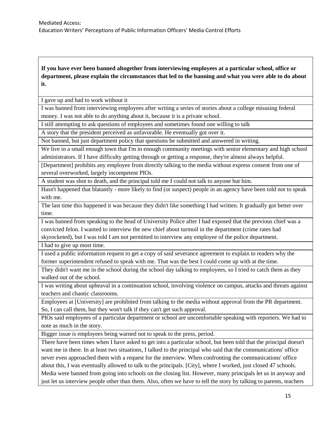**If you have ever been banned altogether from interviewing employees at a particular school, office or department, please explain the circumstances that led to the banning and what you were able to do about it.**

I gave up and had to work without it

I was banned from interviewing employees after writing a series of stories about a college misusing federal money. I was not able to do anything about it, because it is a private school.

I still attempting to ask questions of employees and sometimes found one willing to talk

A story that the president perceived as unfavorable. He eventually got over it.

Not banned, but just department policy that questions be submitted and answered in writing.

We live in a small enough town that I'm in enough community meetings with senior elementary and high school administrators. If I have difficulty getting through or getting a response, they're almost always helpful.

[Department] prohibits any employee from directly talking to the media without express consent from one of several overworked, largely incompetent PIOs.

A student was shot to death, and the principal told me I could not talk to anyone but him.

Hasn't happened that blatantly - more likely to find (or suspect) people in an agency have been told not to speak with me.

The last time this happened it was because they didn't like something I had written. It gradually got better over time.

I was banned from speaking to the head of University Police after I had exposed that the previous chief was a convicted felon. I wanted to interview the new chief about turmoil in the department (crime rates had skyrocketed), but I was told I am not permitted to interview any employee of the police department.

I had to give up most time.

I used a public information request to get a copy of said severance agreement to explain to readers why the former superintendent refused to speak with me. That was the best I could come up with at the time.

They didn't want me in the school during the school day talking to employees, so I tried to catch them as they walked out of the school.

I was writing about upheaval in a continuation school, involving violence on campus, attacks and threats against teachers and chaotic classrooms.

Employees at [University] are prohibited from talking to the media without approval from the PR department. So, I can call them, but they won't talk if they can't get such approval.

PIOs said employees of a particular department or school are uncomfortable speaking with reporters. We had to note as much in the story.

Bigger issue is employees being warned not to speak to the press, period.

There have been times when I have asked to get into a particular school, but been told that the principal doesn't want me in there. In at least two situations, I talked to the principal who said that the communications' office never even approached them with a request for the interview. When confronting the communications' office about this, I was eventually allowed to talk to the principals. [City], where I worked, just closed 47 schools. Media were banned from going into schools on the closing list. However, many principals let us in anyway and just let us interview people other than them. Also, often we have to tell the story by talking to parents, teachers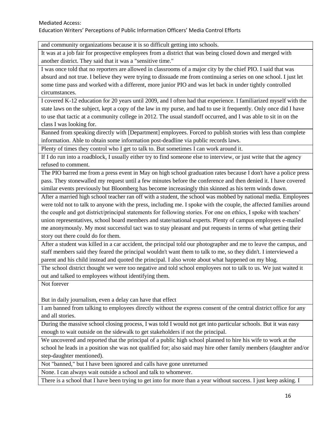and community organizations because it is so difficult getting into schools.

It was at a job fair for prospective employees from a district that was being closed down and merged with another district. They said that it was a "sensitive time."

I was once told that no reporters are allowed in classrooms of a major city by the chief PIO. I said that was absurd and not true. I believe they were trying to dissuade me from continuing a series on one school. I just let some time pass and worked with a different, more junior PIO and was let back in under tightly controlled circumstances.

I covered K-12 education for 20 years until 2009, and I often had that experience. I familiarized myself with the state laws on the subject, kept a copy of the law in my purse, and had to use it frequently. Only once did I have to use that tactic at a community college in 2012. The usual standoff occurred, and I was able to sit in on the class I was looking for.

Banned from speaking directly with [Department] employees. Forced to publish stories with less than complete information. Able to obtain some information post-deadline via public records laws.

Plenty of times they control who I get to talk to. But sometimes I can work around it.

If I do run into a roadblock, I usually either try to find someone else to interview, or just write that the agency refused to comment.

The PIO barred me from a press event in May on high school graduation rates because I don't have a police press pass. They stonewalled my request until a few minutes before the conference and then denied it. I have covered similar events previously but Bloomberg has become increasingly thin skinned as his term winds down.

After a married high school teacher ran off with a student, the school was mobbed by national media. Employees were told not to talk to anyone with the press, including me. I spoke with the couple, the affected families around the couple and got district/principal statements for following stories. For one on ethics, I spoke with teachers' union representatives, school board members and state/national experts. Plenty of campus employees e-mailed me anonymously. My most successful tact was to stay pleasant and put requests in terms of what getting their story out there could do for them.

After a student was killed in a car accident, the principal told our photographer and me to leave the campus, and staff members said they feared the principal wouldn't want them to talk to me, so they didn't. I interviewed a parent and his child instead and quoted the principal. I also wrote about what happened on my blog.

The school district thought we were too negative and told school employees not to talk to us. We just waited it out and talked to employees without identifying them.

Not forever

But in daily journalism, even a delay can have that effect

I am banned from talking to employees directly without the express consent of the central district office for any and all stories.

During the massive school closing process, I was told I would not get into particular schools. But it was easy enough to wait outside on the sidewalk to get stakeholders if not the principal.

We uncovered and reported that the principal of a public high school planned to hire his wife to work at the school he leads in a position she was not qualified for; also said may hire other family members (daughter and/or step-daughter mentioned).

Not "banned," but I have been ignored and calls have gone unreturned

None. I can always wait outside a school and talk to whomever.

There is a school that I have been trying to get into for more than a year without success. I just keep asking. I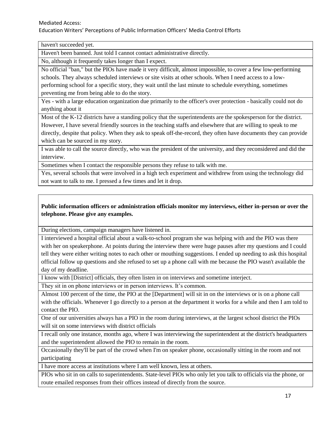haven't succeeded yet.

Haven't been banned. Just told I cannot contact administrative directly.

No, although it frequently takes longer than I expect.

No official "ban," but the PIOs have made it very difficult, almost impossible, to cover a few low-performing schools. They always scheduled interviews or site visits at other schools. When I need access to a lowperforming school for a specific story, they wait until the last minute to schedule everything, sometimes preventing me from being able to do the story.

Yes - with a large education organization due primarily to the officer's over protection - basically could not do anything about it

Most of the K-12 districts have a standing policy that the superintendents are the spokesperson for the district. However, I have several friendly sources in the teaching staffs and elsewhere that are willing to speak to me directly, despite that policy. When they ask to speak off-the-record, they often have documents they can provide which can be sourced in my story.

I was able to call the source directly, who was the president of the university, and they reconsidered and did the interview.

Sometimes when I contact the responsible persons they refuse to talk with me.

Yes, several schools that were involved in a high tech experiment and withdrew from using the technology did not want to talk to me. I pressed a few times and let it drop.

## **Public information officers or administration officials monitor my interviews, either in-person or over the telephone. Please give any examples.**

During elections, campaign managers have listened in.

I interviewed a hospital official about a walk-to-school program she was helping with and the PIO was there with her on speakerphone. At points during the interview there were huge pauses after my questions and I could tell they were either writing notes to each other or mouthing suggestions. I ended up needing to ask this hospital official follow up questions and she refused to set up a phone call with me because the PIO wasn't available the day of my deadline.

I know with [District] officials, they often listen in on interviews and sometime interject.

They sit in on phone interviews or in person interviews. It's common.

Almost 100 percent of the time, the PIO at the [Department] will sit in on the interviews or is on a phone call with the officials. Whenever I go directly to a person at the department it works for a while and then I am told to contact the PIO.

One of our universities always has a PIO in the room during interviews, at the largest school district the PIOs will sit on some interviews with district officials

I recall only one instance, months ago, where I was interviewing the superintendent at the district's headquarters and the superintendent allowed the PIO to remain in the room.

Occasionally they'll be part of the crowd when I'm on speaker phone, occasionally sitting in the room and not participating

I have more access at institutions where I am well known, less at others.

PIOs who sit in on calls to superintendents. State-level PIOs who only let you talk to officials via the phone, or route emailed responses from their offices instead of directly from the source.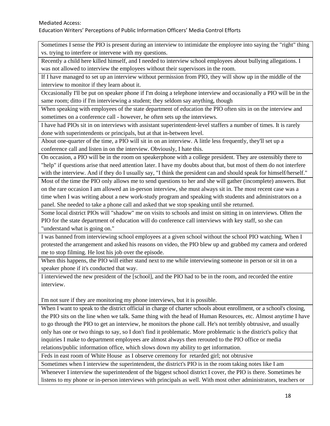Sometimes I sense the PIO is present during an interview to intimidate the employee into saying the "right" thing vs. trying to interfere or intervene with my questions.

Recently a child here killed himself, and I needed to interview school employees about bullying allegations. I was not allowed to interview the employees without their supervisors in the room.

If I have managed to set up an interview without permission from PIO, they will show up in the middle of the interview to monitor if they learn about it.

Occasionally I'll be put on speaker phone if I'm doing a telephone interview and occasionally a PIO will be in the same room; ditto if I'm interviewing a student; they seldom say anything, though

When speaking with employees of the state department of education the PIO often sits in on the interview and sometimes on a conference call - however, he often sets up the interviews.

I have had PIOs sit in on interviews with assistant superintendent-level staffers a number of times. It is rarely done with superintendents or principals, but at that in-between level.

About one-quarter of the time, a PIO will sit in on an interview. A little less frequently, they'll set up a conference call and listen in on the interview. Obviously, I hate this.

On occasion, a PIO will be in the room on speakerphone with a college president. They are ostensibly there to "help" if questions arise that need attention later. I have my doubts about that, but most of them do not interfere with the interview. And if they do I usually say, "I think the president can and should speak for himself/herself."

Most of the time the PIO only allows me to send questions to her and she will gather (incomplete) answers. But on the rare occasion I am allowed an in-person interview, she must always sit in. The most recent case was a time when I was writing about a new work-study program and speaking with students and administrators on a panel. She needed to take a phone call and asked that we stop speaking until she returned.

Some local district PIOs will "shadow" me on visits to schools and insist on sitting in on interviews. Often the PIO for the state department of education will do conference call interviews with key staff, so she can "understand what is going on."

I was banned from interviewing school employees at a given school without the school PIO watching. When I protested the arrangement and asked his reasons on video, the PIO blew up and grabbed my camera and ordered me to stop filming. He lost his job over the episode.

When this happens, the PIO will either stand next to me while interviewing someone in person or sit in on a speaker phone if it's conducted that way.

I interviewed the new president of the [school], and the PIO had to be in the room, and recorded the entire interview.

I'm not sure if they are monitoring my phone interviews, but it is possible.

When I want to speak to the district official in charge of charter schools about enrollment, or a school's closing, the PIO sits on the line when we talk. Same thing with the head of Human Resources, etc. Almost anytime I have to go through the PIO to get an interview, he monitors the phone call. He's not terribly obtrusive, and usually only has one or two things to say, so I don't find it problematic. More problematic is the district's policy that inquiries I make to department employees are almost always then rerouted to the PIO office or media relations/public information office, which slows down my ability to get information.

Feds in east room of White House as I observe ceremony for retarded girl; not obtrusive

Sometimes when I interview the superintendent, the district's PIO is in the room taking notes like I am

Whenever I interview the superintendent of the biggest school district I cover, the PIO is there. Sometimes he listens to my phone or in-person interviews with principals as well. With most other administrators, teachers or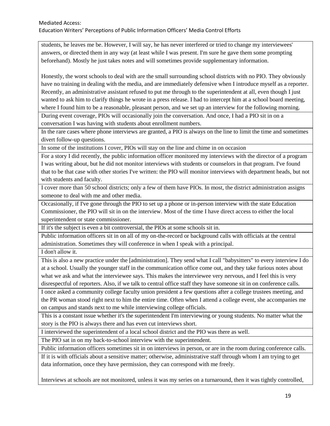students, he leaves me be. However, I will say, he has never interfered or tried to change my interviewees' answers, or directed them in any way (at least while I was present. I'm sure he gave them some prompting beforehand). Mostly he just takes notes and will sometimes provide supplementary information.

Honestly, the worst schools to deal with are the small surrounding school districts with no PIO. They obviously have no training in dealing with the media, and are immediately defensive when I introduce myself as a reporter. Recently, an administrative assistant refused to put me through to the superintendent at all, even though I just wanted to ask him to clarify things he wrote in a press release. I had to intercept him at a school board meeting, where I found him to be a reasonable, pleasant person, and we set up an interview for the following morning.

During event coverage, PIOs will occasionally join the conversation. And once, I had a PIO sit in on a conversation I was having with students about enrollment numbers.

In the rare cases where phone interviews are granted, a PIO is always on the line to limit the time and sometimes divert follow-up questions.

In some of the institutions I cover, PIOs will stay on the line and chime in on occasion

For a story I did recently, the public information officer monitored my interviews with the director of a program I was writing about, but he did not monitor interviews with students or counselors in that program. I've found that to be that case with other stories I've written: the PIO will monitor interviews with department heads, but not with students and faculty.

I cover more than 50 school districts; only a few of them have PIOs. In most, the district administration assigns someone to deal with me and other media.

Occasionally, if I've gone through the PIO to set up a phone or in-person interview with the state Education Commissioner, the PIO will sit in on the interview. Most of the time I have direct access to either the local superintendent or state commissioner.

If it's the subject is even a bit controversial, the PIOs at some schools sit in.

Public information officers sit in on all of my on-the-record or background calls with officials at the central administration. Sometimes they will conference in when I speak with a principal.

I don't allow it.

This is also a new practice under the [administration]. They send what I call "babysitters" to every interview I do at a school. Usually the younger staff in the communication office come out, and they take furious notes about what we ask and what the interviewee says. This makes the interviewee very nervous, and I feel this is very disrespectful of reporters. Also, if we talk to central office staff they have someone sit in on conference calls.

I once asked a community college faculty union president a few questions after a college trustees meeting, and the PR woman stood right next to him the entire time. Often when I attend a college event, she accompanies me on campus and stands next to me while interviewing college officials.

This is a constant issue whether it's the superintendent I'm interviewing or young students. No matter what the story is the PIO is always there and has even cut interviews short.

I interviewed the superintendent of a local school district and the PIO was there as well.

The PIO sat in on my back-to-school interview with the superintendent.

Public information officers sometimes sit in on interviews in person, or are in the room during conference calls.

If it is with officials about a sensitive matter; otherwise, administrative staff through whom I am trying to get data information, once they have permission, they can correspond with me freely.

Interviews at schools are not monitored, unless it was my series on a turnaround, then it was tightly controlled,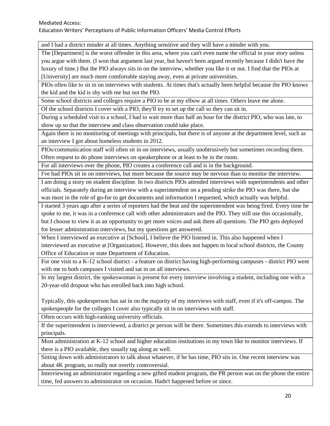#### Mediated Access: Education Writers' Perceptions of Public Information Officers' Media Control Efforts

and I had a district minder at all times. Anything sensitive and they will have a minder with you.

The [Department] is the worst offender in this area, where you can't even name the official in your story unless you argue with them. (I won that argument last year, but haven't been argued recently because I didn't have the luxury of time.) But the PIO always sits in on the interview, whether you like it or not. I find that the PIOs at [University] are much more comfortable staying away, even at private universities.

PIOs often like to sit in on interviews with students. At times that's actually been helpful because the PIO knows the kid and the kid is shy with me but not the PIO.

Some school districts and colleges require a PIO to be at my elbow at all times. Others leave me alone.

Of the school districts I cover with a PIO, they'll try to set up the call so they can sit in.

During a scheduled visit to a school, I had to wait more than half an hour for the district PIO, who was late, to show up so that the interview and class observation could take place.

Again there is no monitoring of meetings with principals, but there is of anyone at the department level, such as an interview I got about homeless students in 2012.

PIOs/communication staff will often sit in on interviews, usually unobtrusively but sometimes recording them. Often request to do phone interviews on speakerphone or at least to be in the room.

For all interviews over the phone, PIO creates a conference call and is in the background.

I've had PIOs sit in on interviews, but more because the source may be nervous than to monitor the interview.

I am doing a story on student discipline. In two districts PIOs attended interviews with superintendents and other officials. Separately during an interview with a superintendent on a pending strike the PIO was there, but she was most in the role of go-for to get documents and information I requested, which actually was helpful.

I started 3 years ago after a series of reporters had the beat and the superintendent was being fired. Every time he spoke to me, it was in a conference call with other administrators and the PIO. They still use this occasionally, but I choose to view it as an opportunity to get more voices and ask them all questions. The PIO gets deployed for lesser administration interviews, but my questions get answered.

When I interviewed an executive at [School], I believe the PIO listened in. This also happened when I interviewed an executive at [Organization]. However, this does not happen in local school districts, the County Office of Education or state Department of Education.

For one visit to a K-12 school district - a feature on district having high-performing campuses - district PIO went with me to both campuses I visited and sat in on all interviews.

In my largest district, the spokeswoman is present for every interview involving a student, including one with a 20-year-old dropout who has enrolled back into high school.

Typically, this spokesperson has sat in on the majority of my interviews with staff, even if it's off-campus. The spokespeople for the colleges I cover also typically sit in on interviews with staff.

Often occurs with high-ranking university officials.

If the superintendent is interviewed, a district pr person will be there. Sometimes this extends to interviews with principals.

Most administration at K-12 school and higher education institutions in my town like to monitor interviews. If there is a PIO available, they usually tag along as well.

Sitting down with administrators to talk about whatever, if he has time, PIO sits in. One recent interview was about 4K program, so really not overtly controversial.

Interviewing an administrator regarding a new gifted student program, the PR person was on the phone the entire time, fed answers to administrator on occasion. Hadn't happened before or since.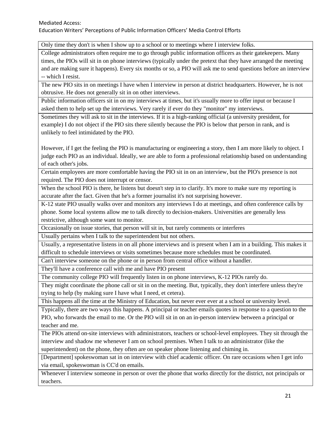Only time they don't is when I show up to a school or to meetings where I interview folks.

College administrators often require me to go through public information officers as their gatekeepers. Many times, the PIOs will sit in on phone interviews (typically under the pretext that they have arranged the meeting and are making sure it happens). Every six months or so, a PIO will ask me to send questions before an interview -- which I resist.

The new PIO sits in on meetings I have when I interview in person at district headquarters. However, he is not obtrusive. He does not generally sit in on other interviews.

Public information officers sit in on my interviews at times, but it's usually more to offer input or because I asked them to help set up the interviews. Very rarely if ever do they "monitor" my interviews.

Sometimes they will ask to sit in the interviews. If it is a high-ranking official (a university president, for example) I do not object if the PIO sits there silently because the PIO is below that person in rank, and is unlikely to feel intimidated by the PIO.

However, if I get the feeling the PIO is manufacturing or engineering a story, then I am more likely to object. I judge each PIO as an individual. Ideally, we are able to form a professional relationship based on understanding of each other's jobs.

Certain employees are more comfortable having the PIO sit in on an interview, but the PIO's presence is not required. The PIO does not interrupt or censor.

When the school PIO is there, he listens but doesn't step in to clarify. It's more to make sure my reporting is accurate after the fact. Given that he's a former journalist it's not surprising however.

K-12 state PIO usually walks over and monitors any interviews I do at meetings, and often conference calls by phone. Some local systems allow me to talk directly to decision-makers. Universities are generally less restrictive, although some want to monitor.

Occasionally on issue stories, that person will sit in, but rarely comments or interferes

Usually pertains when I talk to the superintendent but not others.

Usually, a representative listens in on all phone interviews and is present when I am in a building. This makes it difficult to schedule interviews or visits sometimes because more schedules must be coordinated.

Can't interview someone on the phone or in person from central office without a handler.

They'll have a conference call with me and have PIO present

The community college PIO will frequently listen in on phone interviews, K-12 PIOs rarely do.

They might coordinate the phone call or sit in on the meeting. But, typically, they don't interfere unless they're trying to help (by making sure I have what I need, et cetera).

This happens all the time at the Ministry of Education, but never ever ever at a school or university level.

Typically, there are two ways this happens. A principal or teacher emails quotes in response to a question to the PIO, who forwards the email to me. Or the PIO will sit in on an in-person interview between a principal or teacher and me.

The PIOs attend on-site interviews with administrators, teachers or school-level employees. They sit through the interview and shadow me whenever I am on school premises. When I talk to an administrator (like the superintendent) on the phone, they often are on speaker phone listening and chiming in.

[Department] spokeswoman sat in on interview with chief academic officer. On rare occasions when I get info via email, spokeswoman is CC'd on emails.

Whenever I interview someone in person or over the phone that works directly for the district, not principals or teachers.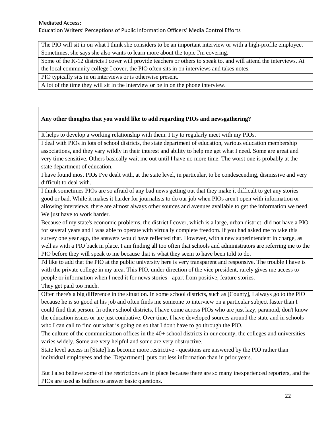The PIO will sit in on what I think she considers to be an important interview or with a high-profile employee. Sometimes, she says she also wants to learn more about the topic I'm covering.

Some of the K-12 districts I cover will provide teachers or others to speak to, and will attend the interviews. At the local community college I cover, the PIO often sits in on interviews and takes notes.

PIO typically sits in on interviews or is otherwise present.

A lot of the time they will sit in the interview or be in on the phone interview.

#### **Any other thoughts that you would like to add regarding PIOs and newsgathering?**

It helps to develop a working relationship with them. I try to regularly meet with my PIOs.

I deal with PIOs in lots of school districts, the state department of education, various education membership associations, and they vary wildly in their interest and ability to help me get what I need. Some are great and very time sensitive. Others basically wait me out until I have no more time. The worst one is probably at the state department of education.

I have found most PIOs I've dealt with, at the state level, in particular, to be condescending, dismissive and very difficult to deal with.

I think sometimes PIOs are so afraid of any bad news getting out that they make it difficult to get any stories good or bad. While it makes it harder for journalists to do our job when PIOs aren't open with information or allowing interviews, there are almost always other sources and avenues available to get the information we need. We just have to work harder.

Because of my state's economic problems, the district I cover, which is a large, urban district, did not have a PIO for several years and I was able to operate with virtually complete freedom. If you had asked me to take this survey one year ago, the answers would have reflected that. However, with a new superintendent in charge, as well as with a PIO back in place, I am finding all too often that schools and administrators are referring me to the PIO before they will speak to me because that is what they seem to have been told to do.

I'd like to add that the PIO at the public university here is very transparent and responsive. The trouble I have is with the private college in my area. This PIO, under direction of the vice president, rarely gives me access to people or information when I need it for news stories - apart from positive, feature stories.

They get paid too much.

Often there's a big difference in the situation. In some school districts, such as [County], I always go to the PIO because he is so good at his job and often finds me someone to interview on a particular subject faster than I could find that person. In other school districts, I have come across PIOs who are just lazy, paranoid, don't know the education issues or are just combative. Over time, I have developed sources around the state and in schools who I can call to find out what is going on so that I don't have to go through the PIO.

The culture of the communication offices in the 40+ school districts in our county, the colleges and universities varies widely. Some are very helpful and some are very obstructive.

State level access in [State] has become more restrictive - questions are answered by the PIO rather than individual employees and the [Department] puts out less information than in prior years.

But I also believe some of the restrictions are in place because there are so many inexperienced reporters, and the PIOs are used as buffers to answer basic questions.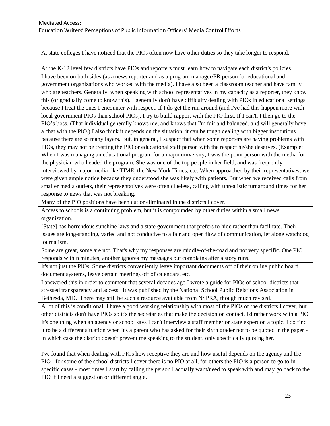At state colleges I have noticed that the PIOs often now have other duties so they take longer to respond.

At the K-12 level few districts have PIOs and reporters must learn how to navigate each district's policies.

I have been on both sides (as a news reporter and as a program manager/PR person for educational and government organizations who worked with the media). I have also been a classroom teacher and have family who are teachers. Generally, when speaking with school representatives in my capacity as a reporter, they know this (or gradually come to know this). I generally don't have difficulty dealing with PIOs in educational settings because I treat the ones I encounter with respect. If I do get the run around (and I've had this happen more with local government PIOs than school PIOs), I try to build rapport with the PIO first. If I can't, I then go to the PIO's boss. (That individual generally knows me, and knows that I'm fair and balanced, and will generally have a chat with the PIO.) I also think it depends on the situation; it can be tough dealing with bigger institutions because there are so many layers. But, in general, I suspect that when some reporters are having problems with PIOs, they may not be treating the PIO or educational staff person with the respect he/she deserves. (Example: When I was managing an educational program for a major university, I was the point person with the media for the physician who headed the program. She was one of the top people in her field, and was frequently interviewed by major media like TIME, the New York Times, etc. When approached by their representatives, we were given ample notice because they understood she was likely with patients. But when we received calls from smaller media outlets, their representatives were often clueless, calling with unrealistic turnaround times for her response to news that was not breaking.

Many of the PIO positions have been cut or eliminated in the districts I cover.

Access to schools is a continuing problem, but it is compounded by other duties within a small news organization.

[State] has horrendous sunshine laws and a state government that prefers to hide rather than facilitate. Their issues are long-standing, varied and not conducive to a fair and open flow of communication, let alone watchdog journalism.

Some are great, some are not. That's why my responses are middle-of-the-road and not very specific. One PIO responds within minutes; another ignores my messages but complains after a story runs.

It's not just the PIOs. Some districts conveniently leave important documents off of their online public board document systems, leave certain meetings off of calendars, etc.

I answered this in order to comment that several decades ago I wrote a guide for PIOs of school districts that stressed transparency and access. It was published by the National School Public Relations Association in Bethesda, MD. There may still be such a resource available from NSPRA, though much revised.

A lot of this is conditional; I have a good working relationship with most of the PIOs of the districts I cover, but other districts don't have PIOs so it's the secretaries that make the decision on contact. I'd rather work with a PIO

It's one thing when an agency or school says I can't interview a staff member or state expert on a topic, I do find it to be a different situation when it's a parent who has asked for their sixth grader not to be quoted in the paper in which case the district doesn't prevent me speaking to the student, only specifically quoting her.

I've found that when dealing with PIOs how receptive they are and how useful depends on the agency and the PIO - for some of the school districts I cover there is no PIO at all, for others the PIO is a person to go to in specific cases - most times I start by calling the person I actually want/need to speak with and may go back to the PIO if I need a suggestion or different angle.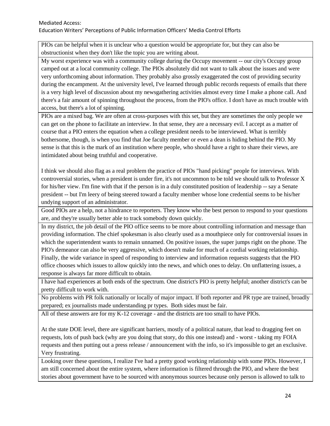PIOs can be helpful when it is unclear who a question would be appropriate for, but they can also be obstructionist when they don't like the topic you are writing about.

My worst experience was with a community college during the Occupy movement -- our city's Occupy group camped out at a local community college. The PIOs absolutely did not want to talk about the issues and were very unforthcoming about information. They probably also grossly exaggerated the cost of providing security during the encampment. At the university level, I've learned through public records requests of emails that there is a very high level of discussion about my newsgathering activities almost every time I make a phone call. And there's a fair amount of spinning throughout the process, from the PIO's office. I don't have as much trouble with access, but there's a lot of spinning.

PIOs are a mixed bag. We are often at cross-purposes with this set, but they are sometimes the only people we can get on the phone to facilitate an interview. In that sense, they are a necessary evil. I accept as a matter of course that a PIO enters the equation when a college president needs to be interviewed. What is terribly bothersome, though, is when you find that Joe faculty member or even a dean is hiding behind the PIO. My sense is that this is the mark of an institution where people, who should have a right to share their views, are intimidated about being truthful and cooperative.

I think we should also flag as a real problem the practice of PIOs "hand picking" people for interviews. With controversial stories, when a president is under fire, it's not uncommon to be told we should talk to Professor X for his/her view. I'm fine with that if the person is in a duly constituted position of leadership -- say a Senate president -- but I'm leery of being steered toward a faculty member whose lone credential seems to be his/her undying support of an administrator.

Good PIOs are a help, not a hindrance to reporters. They know who the best person to respond to your questions are, and they're usually better able to track somebody down quickly.

In my district, the job detail of the PIO office seems to be more about controlling information and message than providing information. The chief spokesman is also clearly used as a mouthpiece only for controversial issues in which the superintendent wants to remain unnamed. On positive issues, the super jumps right on the phone. The PIO's demeanor can also be very aggressive, which doesn't make for much of a cordial working relationship. Finally, the wide variance in speed of responding to interview and information requests suggests that the PIO office chooses which issues to allow quickly into the news, and which ones to delay. On unflattering issues, a response is always far more difficult to obtain.

I have had experiences at both ends of the spectrum. One district's PIO is pretty helpful; another district's can be pretty difficult to work with.

No problems with PR folk nationally or locally of major impact. If both reporter and PR type are trained, broadly prepared; ex journalists made understanding pr types. Both sides must be fair.

All of these answers are for my K-12 coverage - and the districts are too small to have PIOs.

At the state DOE level, there are significant barriers, mostly of a political nature, that lead to dragging feet on requests, lots of push back (why are you doing that story, do this one instead) and - worst - taking my FOIA requests and then putting out a press release / announcement with the info, so it's impossible to get an exclusive. Very frustrating.

Looking over these questions, I realize I've had a pretty good working relationship with some PIOs. However, I am still concerned about the entire system, where information is filtered through the PIO, and where the best stories about government have to be sourced with anonymous sources because only person is allowed to talk to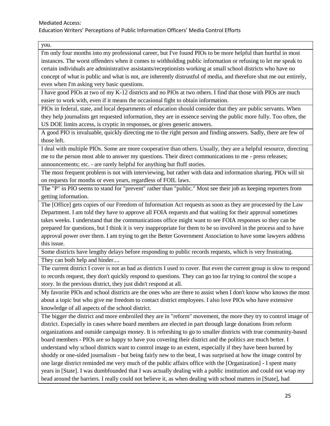you.

I'm only four months into my professional career, but I've found PIOs to be more helpful than hurtful in most instances. The worst offenders when it comes to withholding public information or refusing to let me speak to certain individuals are administrative assistants/receptionists working at small school districts who have no concept of what is public and what is not, are inherently distrustful of media, and therefore shut me out entirely, even when I'm asking very basic questions.

I have good PIOs at two of my K-12 districts and no PIOs at two others. I find that those with PIOs are much easier to work with, even if it means the occasional fight to obtain information.

PIOs in federal, state, and local departments of education should consider that they are public servants. When they help journalists get requested information, they are in essence serving the public more fully. Too often, the US DOE limits access, is cryptic in responses, or gives generic answers.

A good PIO is invaluable, quickly directing me to the right person and finding answers. Sadly, there are few of those left.

I deal with multiple PIOs. Some are more cooperative than others. Usually, they are a helpful resource, directing me to the person most able to answer my questions. Their direct communications to me - press releases; announcements; etc. - are rarely helpful for anything but fluff stories.

The most frequent problem is not with interviewing, but rather with data and information sharing. PIOs will sit on requests for months or even years, regardless of FOIL laws.

The "P" in PIO seems to stand for "prevent" rather than "public." Most see their job as keeping reporters from getting information.

The [Office] gets copies of our Freedom of Information Act requests as soon as they are processed by the Law Department. I am told they have to approve all FOIA requests and that waiting for their approval sometimes takes weeks. I understand that the communications office might want to see FOIA responses so they can be prepared for questions, but I think it is very inappropriate for them to be so involved in the process and to have approval power over them. I am trying to get the Better Government Association to have some lawyers address this issue.

Some districts have lengthy delays before responding to public records requests, which is very frustrating. They can both help and hinder....

The current district I cover is not as bad as districts I used to cover. But even the current group is slow to respond to records request, they don't quickly respond to questions. They can go too far trying to control the scope a story. In the previous district, they just didn't respond at all.

My favorite PIOs and school districts are the ones who are there to assist when I don't know who knows the most about a topic but who give me freedom to contact district employees. I also love PIOs who have extensive knowledge of all aspects of the school district.

The bigger the district and more embroiled they are in "reform" movement, the more they try to control image of district. Especially in cases where board members are elected in part through large donations from reform organizations and outside campaign money. It is refreshing to go to smaller districts with true community-based board members - PIOs are so happy to have you covering their district and the politics are much better. I understand why school districts want to control image to an extent, especially if they have been burned by shoddy or one-sided journalism - but being fairly new to the beat, I was surprised at how the image control by one large district reminded me very much of the public affairs office with the [Organization] - I spent many years in [State]. I was dumbfounded that I was actually dealing with a public institution and could not wrap my head around the barriers. I really could not believe it, as when dealing with school matters in [State], had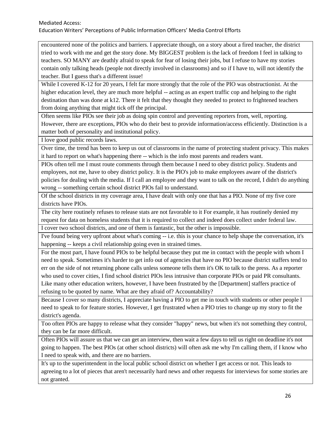encountered none of the politics and barriers. I appreciate though, on a story about a fired teacher, the district tried to work with me and get the story done. My BIGGEST problem is the lack of freedom I feel in talking to teachers. SO MANY are deathly afraid to speak for fear of losing their jobs, but I refuse to have my stories contain only talking heads (people not directly involved in classrooms) and so if I have to, will not identify the teacher. But I guess that's a different issue!

While I covered K-12 for 20 years, I felt far more strongly that the role of the PIO was obstructionist. At the higher education level, they are much more helpful -- acting as an expert traffic cop and helping to the right destination than was done at k12. There it felt that they thought they needed to protect to frightened teachers from doing anything that might tick off the principal.

Often seems like PIOs see their job as doing spin control and preventing reporters from, well, reporting. However, there are exceptions, PIOs who do their best to provide information/access efficiently. Distinction is a matter both of personality and institutional policy.

I love good public records laws.

Over time, the trend has been to keep us out of classrooms in the name of protecting student privacy. This makes it hard to report on what's happening there -- which is the info most parents and readers want.

PIOs often tell me I must route comments through them because I need to obey district policy. Students and employees, not me, have to obey district policy. It is the PIO's job to make employees aware of the district's policies for dealing with the media. If I call an employee and they want to talk on the record, I didn't do anything wrong -- something certain school district PIOs fail to understand.

Of the school districts in my coverage area, I have dealt with only one that has a PIO. None of my five core districts have PIOs.

The city here routinely refuses to release stats are not favorable to it For example, it has routinely denied my request for data on homeless students that it is required to collect and indeed does collect under federal law. I cover two school districts, and one of them is fantastic, but the other is impossible.

I've found being very upfront about what's coming -- i.e. this is your chance to help shape the conversation, it's

happening -- keeps a civil relationship going even in strained times.

For the most part, I have found PIOs to be helpful because they put me in contact with the people with whom I need to speak. Sometimes it's harder to get info out of agencies that have no PIO because district staffers tend to err on the side of not returning phone calls unless someone tells them it's OK to talk to the press. As a reporter who used to cover cities, I find school district PIOs less intrusive than corporate PIOs or paid PR consultants. Like many other education writers, however, I have been frustrated by the [Department] staffers practice of refusing to be quoted by name. What are they afraid of? Accountability?

Because I cover so many districts, I appreciate having a PIO to get me in touch with students or other people I need to speak to for feature stories. However, I get frustrated when a PIO tries to change up my story to fit the district's agenda.

Too often PIOs are happy to release what they consider "happy" news, but when it's not something they control, they can be far more difficult.

Often PIOs will assure us that we can get an interview, then wait a few days to tell us right on deadline it's not going to happen. The best PIOs (at other school districts) will often ask me why I'm calling them, if I know who I need to speak with, and there are no barriers.

It's up to the superintendent in the local public school district on whether I get access or not. This leads to agreeing to a lot of pieces that aren't necessarily hard news and other requests for interviews for some stories are not granted.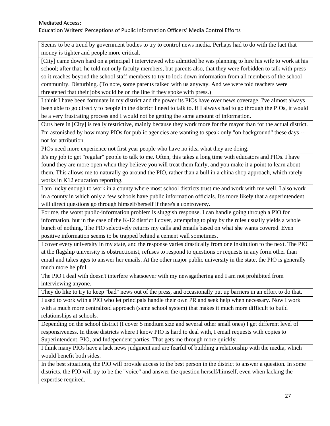Seems to be a trend by government bodies to try to control news media. Perhaps had to do with the fact that money is tighter and people more critical.

[City] came down hard on a principal I interviewed who admitted he was planning to hire his wife to work at his school; after that, he told not only faculty members, but parents also, that they were forbidden to talk with press- so it reaches beyond the school staff members to try to lock down information from all members of the school community. Disturbing. (To note, some parents talked with us anyway. And we were told teachers were threatened that their jobs would be on the line if they spoke with press.)

I think I have been fortunate in my district and the power its PIOs have over news coverage. I've almost always been able to go directly to people in the district I need to talk to. If I always had to go through the PIOs, it would be a very frustrating process and I would not be getting the same amount of information.

Ours here in [City] is really restrictive, mainly because they work more for the mayor than for the actual district.

I'm astonished by how many PIOs for public agencies are wanting to speak only "on background" these days - not for attribution.

PIOs need more experience not first year people who have no idea what they are doing.

It's my job to get "regular" people to talk to me. Often, this takes a long time with educators and PIOs. I have found they are more open when they believe you will treat them fairly, and you make it a point to learn about them. This allows me to naturally go around the PIO, rather than a bull in a china shop approach, which rarely works in K12 education reporting.

I am lucky enough to work in a county where most school districts trust me and work with me well. I also work in a county in which only a few schools have public information officials. It's more likely that a superintendent will direct questions go through himself/herself if there's a controversy.

For me, the worst public-information problem is sluggish response. I can handle going through a PIO for information, but in the case of the K-12 district I cover, attempting to play by the rules usually yields a whole bunch of nothing. The PIO selectively returns my calls and emails based on what she wants covered. Even positive information seems to be trapped behind a cement wall sometimes.

I cover every university in my state, and the response varies drastically from one institution to the next. The PIO at the flagship university is obstructionist, refuses to respond to questions or requests in any form other than email and takes ages to answer her emails. At the other major public university in the state, the PIO is generally much more helpful.

The PIO I deal with doesn't interfere whatsoever with my newsgathering and I am not prohibited from interviewing anyone.

They do like to try to keep "bad" news out of the press, and occasionally put up barriers in an effort to do that.

I used to work with a PIO who let principals handle their own PR and seek help when necessary. Now I work with a much more centralized approach (same school system) that makes it much more difficult to build relationships at schools.

Depending on the school district (I cover 5 medium size and several other small ones) I get different level of responsiveness. In those districts where I know PIO is hard to deal with, I email requests with copies to Superintendent, PIO, and Independent parties. That gets me through more quickly.

I think many PIOs have a lack news judgment and are fearful of building a relationship with the media, which would benefit both sides.

In the best situations, the PIO will provide access to the best person in the district to answer a question. In some districts, the PIO will try to be the "voice" and answer the question herself/himself, even when lacking the expertise required.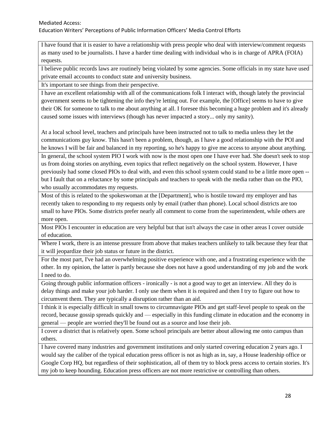I have found that it is easier to have a relationship with press people who deal with interview/comment requests as many used to be journalists. I have a harder time dealing with individual who is in charge of APRA (FOIA) requests.

I believe public records laws are routinely being violated by some agencies. Some officials in my state have used private email accounts to conduct state and university business.

It's important to see things from their perspective.

I have an excellent relationship with all of the communications folk I interact with, though lately the provincial government seems to be tightening the info they're letting out. For example, the [Office] seems to have to give their OK for someone to talk to me about anything at all. I foresee this becoming a huge problem and it's already caused some issues with interviews (though has never impacted a story... only my sanity).

At a local school level, teachers and principals have been instructed not to talk to media unless they let the communications guy know. This hasn't been a problem, though, as I have a good relationship with the POI and he knows I will be fair and balanced in my reporting, so he's happy to give me access to anyone about anything.

In general, the school system PIO I work with now is the most open one I have ever had. She doesn't seek to stop us from doing stories on anything, even topics that reflect negatively on the school system. However, I have previously had some closed PIOs to deal with, and even this school system could stand to be a little more open - but I fault that on a reluctance by some principals and teachers to speak with the media rather than on the PIO, who usually accommodates my requests.

Most of this is related to the spokeswoman at the [Department], who is hostile toward my employer and has recently taken to responding to my requests only by email (rather than phone). Local school districts are too small to have PIOs. Some districts prefer nearly all comment to come from the superintendent, while others are more open.

Most PIOs I encounter in education are very helpful but that isn't always the case in other areas I cover outside of education.

Where I work, there is an intense pressure from above that makes teachers unlikely to talk because they fear that it will jeopardize their job status or future in the district.

For the most part, I've had an overwhelming positive experience with one, and a frustrating experience with the other. In my opinion, the latter is partly because she does not have a good understanding of my job and the work I need to do.

Going through public information officers - ironically - is not a good way to get an interview. All they do is delay things and make your job harder. I only use them when it is required and then I try to figure out how to circumvent them. They are typically a disruption rather than an aid.

I think it is especially difficult in small towns to circumnavigate PIOs and get staff-level people to speak on the record, because gossip spreads quickly and — especially in this funding climate in education and the economy in general — people are worried they'll be found out as a source and lose their job.

I cover a district that is relatively open. Some school principals are better about allowing me onto campus than others.

I have covered many industries and government institutions and only started covering education 2 years ago. I would say the caliber of the typical education press officer is not as high as in, say, a House leadership office or Google Corp HQ, but regardless of their sophistication, all of them try to block press access to certain stories. It's my job to keep hounding. Education press officers are not more restrictive or controlling than others.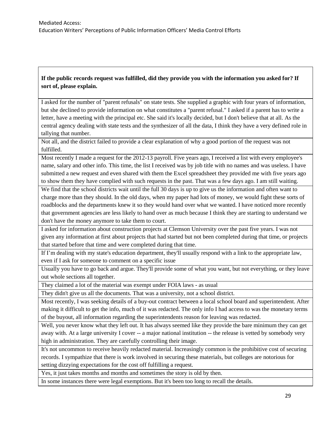## **If the public records request was fulfilled, did they provide you with the information you asked for? If sort of, please explain.**

I asked for the number of "parent refusals" on state tests. She supplied a graphic with four years of information, but she declined to provide information on what constitutes a "parent refusal." I asked if a parent has to write a letter, have a meeting with the principal etc. She said it's locally decided, but I don't believe that at all. As the central agency dealing with state tests and the synthesizer of all the data, I think they have a very defined role in tallying that number.

Not all, and the district failed to provide a clear explanation of why a good portion of the request was not fulfilled.

Most recently I made a request for the 2012-13 payroll. Five years ago, I received a list with every employee's name, salary and other info. This time, the list I received was by job title with no names and was useless. I have submitted a new request and even shared with them the Excel spreadsheet they provided me with five years ago to show them they have complied with such requests in the past. That was a few days ago. I am still waiting.

We find that the school districts wait until the full 30 days is up to give us the information and often want to charge more than they should. In the old days, when my paper had lots of money, we would fight these sorts of roadblocks and the departments knew it so they would hand over what we wanted. I have noticed more recently that government agencies are less likely to hand over as much because I think they are starting to understand we don't have the money anymore to take them to court.

I asked for information about construction projects at Clemson University over the past five years. I was not given any information at first about projects that had started but not been completed during that time, or projects that started before that time and were completed during that time.

If I'm dealing with my state's education department, they'll usually respond with a link to the appropriate law, even if I ask for someone to comment on a specific issue

Usually you have to go back and argue. They'll provide some of what you want, but not everything, or they leave out whole sections all together.

They claimed a lot of the material was exempt under FOIA laws - as usual

They didn't give us all the documents. That was a university, not a school district.

Most recently, I was seeking details of a buy-out contract between a local school board and superintendent. After making it difficult to get the info, much of it was redacted. The only info I had access to was the monetary terms of the buyout, all information regarding the superintendents reason for leaving was redacted.

Well, you never know what they left out. It has always seemed like they provide the bare minimum they can get away with. At a large university I cover -- a major national institution -- the release is vetted by somebody very high in administration. They are carefully controlling their image.

It's not uncommon to receive heavily redacted material. Increasingly common is the prohibitive cost of securing records. I sympathize that there is work involved in securing these materials, but colleges are notorious for setting dizzying expectations for the cost off fulfilling a request.

Yes, it just takes months and months and sometimes the story is old by then.

In some instances there were legal exemptions. But it's been too long to recall the details.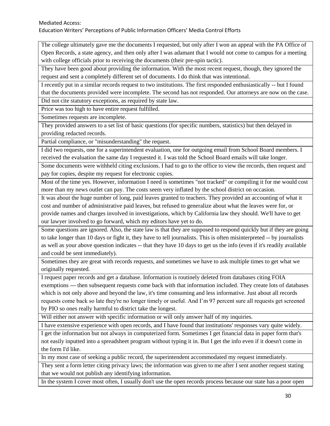The college ultimately gave me the documents I requested, but only after I won an appeal with the PA Office of Open Records, a state agency, and then only after I was adamant that I would not come to campus for a meeting with college officials prior to receiving the documents (their pre-spin tactic).

They have been good about providing the information. With the most recent request, though, they ignored the request and sent a completely different set of documents. I do think that was intentional.

I recently put in a similar records request to two institutions. The first responded enthusiastically -- but I found that the documents provided were incomplete. The second has not responded. Our attorneys are now on the case.

Did not cite statutory exceptions, as required by state law.

Price was too high to have entire request fulfilled.

Sometimes requests are incomplete.

They provided answers to a set list of basic questions (for specific numbers, statistics) but then delayed in providing redacted records.

Partial compliance, or "misunderstanding" the request.

I did two requests, one for a superintendent evaluation, one for outgoing email from School Board members. I received the evaluation the same day I requested it. I was told the School Board emails will take longer.

Some documents were withheld citing exclusions. I had to go to the office to view the records, then request and pay for copies, despite my request for electronic copies.

Most of the time yes. However, information I need is sometimes "not tracked" or compiling it for me would cost more than my news outlet can pay. The costs seem very inflated by the school district on occasion.

It was about the huge number of long, paid leaves granted to teachers. They provided an accounting of what it cost and number of administrative paid leaves, but refused to generalize about what the leaves were for, or provide names and charges involved in investigations, which by California law they should. We'll have to get our lawyer involved to go forward, which my editors have yet to do.

Some questions are ignored. Also, the state law is that they are supposed to respond quickly but if they are going to take longer than 10 days or fight it, they have to tell journalists. This is often misinterpreted -- by journalists as well as your above question indicates -- that they have 10 days to get us the info (even if it's readily available and could be sent immediately).

Sometimes they are great with records requests, and sometimes we have to ask multiple times to get what we originally requested.

I request paper records and get a database. Information is routinely deleted from databases citing FOIA exemptions --- then subsequent requests come back with that information included. They create lots of databases which is not only above and beyond the law, it's time consuming and less informative. Just about all records requests come back so late they're no longer timely or useful. And I'm 97 percent sure all requests get screened by PIO so ones really harmful to district take the longest.

Will either not answer with specific information or will only answer half of my inquiries.

I have extensive experience with open records, and I have found that institutions' responses vary quite widely.

I get the information but not always in computerized form. Sometimes I get financial data in paper form that's not easily inputted into a spreadsheet program without typing it in. But I get the info even if it doesn't come in the form I'd like.

In my most case of seeking a public record, the superintendent accommodated my request immediately.

They sent a form letter citing privacy laws; the information was given to me after I sent another request stating that we would not publish any identifying information.

In the system I cover most often, I usually don't use the open records process because our state has a poor open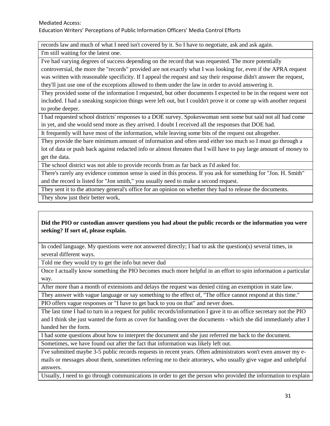records law and much of what I need isn't covered by it. So I have to negotiate, ask and ask again.

I'm still waiting for the latest one.

I've had varying degrees of success depending on the record that was requested. The more potentially controversial, the more the "records" provided are not exactly what I was looking for, even if the APRA request was written with reasonable specificity. If I appeal the request and say their response didn't answer the request, they'll just use one of the exceptions allowed to them under the law in order to avoid answering it.

They provided some of the information I requested, but other documents I expected to be in the request were not included. I had a sneaking suspicion things were left out, but I couldn't prove it or come up with another request to probe deeper.

I had requested school districts' responses to a DOE survey. Spokeswoman sent some but said not all had come in yet, and she would send more as they arrived. I doubt I received all the responses that DOE had.

It frequently will have most of the information, while leaving some bits of the request out altogether.

They provide the bare minimum amount of information and often send either too much so I must go through a lot of data or push back against redacted info or almost threaten that I will have to pay large amount of money to get the data.

The school district was not able to provide records from as far back as I'd asked for.

There's rarely any evidence common sense is used in this process. If you ask for something for "Jon. H. Smith" and the record is listed for "Jon smith," you usually need to make a second request.

They sent it to the attorney general's office for an opinion on whether they had to release the documents.

They show just their better work,

### **Did the PIO or custodian answer questions you had about the public records or the information you were seeking? If sort of, please explain.**

In coded language. My questions were not answered directly; I had to ask the question(s) several times, in several different ways.

Told me they would try to get the info but never dud

Once I actually know something the PIO becomes much more helpful in an effort to spin information a particular way.

After more than a month of extensions and delays the request was denied citing an exemption in state law.

They answer with vague language or say something to the effect of, "The office cannot respond at this time." PIO offers vague responses or "I have to get back to you on that" and never does.

The last time I had to turn in a request for public records/information I gave it to an office secretary not the PIO and I think she just wanted the form as cover for handing over the documents - which she did immediately after I handed her the form.

I had some questions about how to interpret the document and she just referred me back to the document.

Sometimes, we have found out after the fact that information was likely left out.

I've submitted maybe 3-5 public records requests in recent years. Often administrators won't even answer my emails or messages about them, sometimes referring me to their attorneys, who usually give vague and unhelpful answers.

Usually, I need to go through communications in order to get the person who provided the information to explain